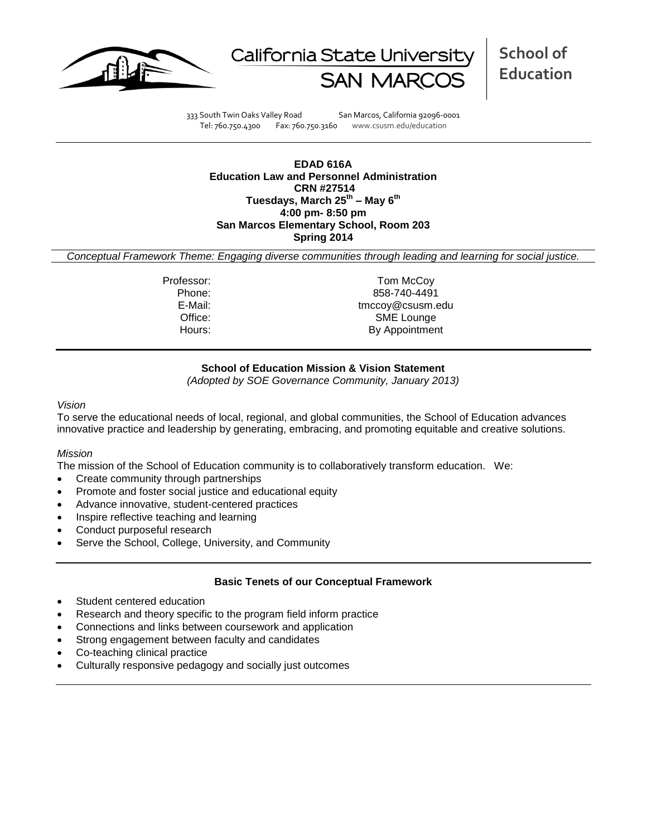



**School of Education**

333 South Twin Oaks Valley Road San Marcos, California 92096-0001 Tel: 760.750.4300 Fax: 760.750.3160 www.csusm.edu/education

**EDAD 616A Education Law and Personnel Administration CRN #27514 Tuesdays, March 25th – May 6th 4:00 pm- 8:50 pm San Marcos Elementary School, Room 203 Spring 2014** 

*Conceptual Framework Theme: Engaging diverse communities through leading and learning for social justice.*

Professor: Tom McCoy Phone: 858-740-4491 E-Mail: tmccoy@csusm.edu Office: SME Lounge Hours: By Appointment

### **School of Education Mission & Vision Statement**

*(Adopted by SOE Governance Community, January 2013)*

#### *Vision*

To serve the educational needs of local, regional, and global communities, the School of Education advances innovative practice and leadership by generating, embracing, and promoting equitable and creative solutions.

#### *Mission*

The mission of the School of Education community is to collaboratively transform education. We:

- Create community through partnerships
- Promote and foster social justice and educational equity
- Advance innovative, student-centered practices
- Inspire reflective teaching and learning
- Conduct purposeful research
- Serve the School, College, University, and Community

### **Basic Tenets of our Conceptual Framework**

- Student centered education
- Research and theory specific to the program field inform practice
- Connections and links between coursework and application
- Strong engagement between faculty and candidates
- Co-teaching clinical practice
- Culturally responsive pedagogy and socially just outcomes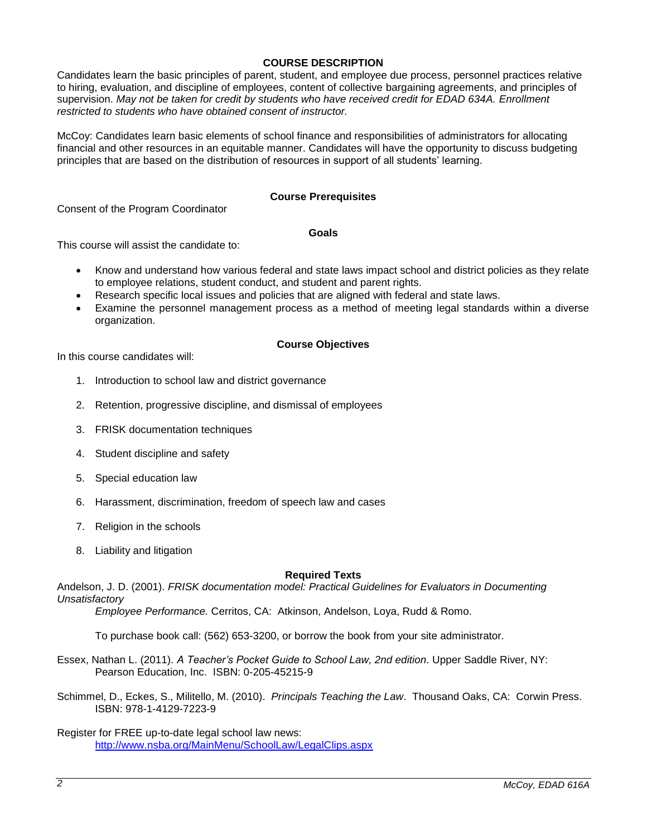# **COURSE DESCRIPTION**

Candidates learn the basic principles of parent, student, and employee due process, personnel practices relative to hiring, evaluation, and discipline of employees, content of collective bargaining agreements, and principles of supervision. *May not be taken for credit by students who have received credit for EDAD 634A. Enrollment restricted to students who have obtained consent of instructor.*

McCoy: Candidates learn basic elements of school finance and responsibilities of administrators for allocating financial and other resources in an equitable manner. Candidates will have the opportunity to discuss budgeting principles that are based on the distribution of resources in support of all students' learning.

### **Course Prerequisites**

Consent of the Program Coordinator

#### **Goals**

This course will assist the candidate to:

- Know and understand how various federal and state laws impact school and district policies as they relate to employee relations, student conduct, and student and parent rights.
- Research specific local issues and policies that are aligned with federal and state laws.
- Examine the personnel management process as a method of meeting legal standards within a diverse organization.

#### **Course Objectives**

In this course candidates will:

- 1. Introduction to school law and district governance
- 2. Retention, progressive discipline, and dismissal of employees
- 3. FRISK documentation techniques
- 4. Student discipline and safety
- 5. Special education law
- 6. Harassment, discrimination, freedom of speech law and cases
- 7. Religion in the schools
- 8. Liability and litigation

### **Required Texts**

Andelson, J. D. (2001). *FRISK documentation model: Practical Guidelines for Evaluators in Documenting Unsatisfactory*

*Employee Performance.* Cerritos, CA: Atkinson, Andelson, Loya, Rudd & Romo.

To purchase book call: (562) 653-3200, or borrow the book from your site administrator.

- Essex, Nathan L. (2011). *A Teacher's Pocket Guide to School Law, 2nd edition*. Upper Saddle River, NY: Pearson Education, Inc. ISBN: 0-205-45215-9
- Schimmel, D., Eckes, S., Militello, M. (2010). *Principals Teaching the Law*. Thousand Oaks, CA: Corwin Press. ISBN: 978-1-4129-7223-9
- Register for FREE up-to-date legal school law news: <http://www.nsba.org/MainMenu/SchoolLaw/LegalClips.aspx>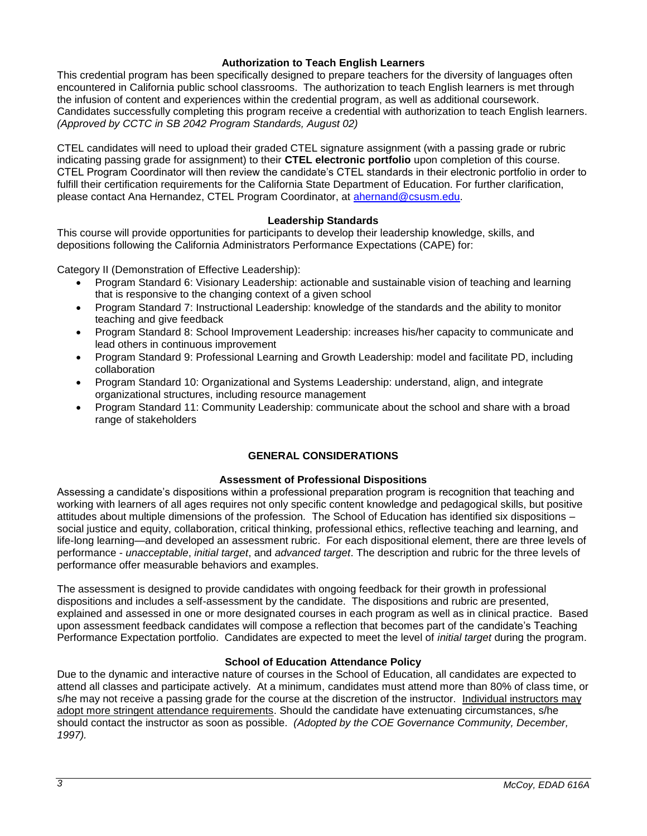# **Authorization to Teach English Learners**

This credential program has been specifically designed to prepare teachers for the diversity of languages often encountered in California public school classrooms. The authorization to teach English learners is met through the infusion of content and experiences within the credential program, as well as additional coursework. Candidates successfully completing this program receive a credential with authorization to teach English learners. *(Approved by CCTC in SB 2042 Program Standards, August 02)*

CTEL candidates will need to upload their graded CTEL signature assignment (with a passing grade or rubric indicating passing grade for assignment) to their **CTEL electronic portfolio** upon completion of this course. CTEL Program Coordinator will then review the candidate's CTEL standards in their electronic portfolio in order to fulfill their certification requirements for the California State Department of Education. For further clarification, please contact Ana Hernandez, CTEL Program Coordinator, at [ahernand@csusm.edu.](https://bl2prd0511.outlook.com/owa/redir.aspx?C=AW7hZ-DBL0G6FPgB8G8Eri3bAwuccNAIwYI81VgsrzvmHC5AEo6nGJNyvZWC7aqWfxtUgiTx_9k.&URL=mailto%3aahernand%40csusm.edu)

# **Leadership Standards**

This course will provide opportunities for participants to develop their leadership knowledge, skills, and depositions following the California Administrators Performance Expectations (CAPE) for:

Category II (Demonstration of Effective Leadership):

- Program Standard 6: Visionary Leadership: actionable and sustainable vision of teaching and learning that is responsive to the changing context of a given school
- Program Standard 7: Instructional Leadership: knowledge of the standards and the ability to monitor teaching and give feedback
- Program Standard 8: School Improvement Leadership: increases his/her capacity to communicate and lead others in continuous improvement
- Program Standard 9: Professional Learning and Growth Leadership: model and facilitate PD, including collaboration
- Program Standard 10: Organizational and Systems Leadership: understand, align, and integrate organizational structures, including resource management
- Program Standard 11: Community Leadership: communicate about the school and share with a broad range of stakeholders

# **GENERAL CONSIDERATIONS**

### **Assessment of Professional Dispositions**

Assessing a candidate's dispositions within a professional preparation program is recognition that teaching and working with learners of all ages requires not only specific content knowledge and pedagogical skills, but positive attitudes about multiple dimensions of the profession. The School of Education has identified six dispositions – social justice and equity, collaboration, critical thinking, professional ethics, reflective teaching and learning, and life-long learning—and developed an assessment rubric. For each dispositional element, there are three levels of performance - *unacceptable*, *initial target*, and *advanced target*. The description and rubric for the three levels of performance offer measurable behaviors and examples.

The assessment is designed to provide candidates with ongoing feedback for their growth in professional dispositions and includes a self-assessment by the candidate. The dispositions and rubric are presented, explained and assessed in one or more designated courses in each program as well as in clinical practice. Based upon assessment feedback candidates will compose a reflection that becomes part of the candidate's Teaching Performance Expectation portfolio. Candidates are expected to meet the level of *initial target* during the program.

### **School of Education Attendance Policy**

Due to the dynamic and interactive nature of courses in the School of Education, all candidates are expected to attend all classes and participate actively. At a minimum, candidates must attend more than 80% of class time, or s/he may not receive a passing grade for the course at the discretion of the instructor. Individual instructors may adopt more stringent attendance requirements. Should the candidate have extenuating circumstances, s/he should contact the instructor as soon as possible. *(Adopted by the COE Governance Community, December, 1997).*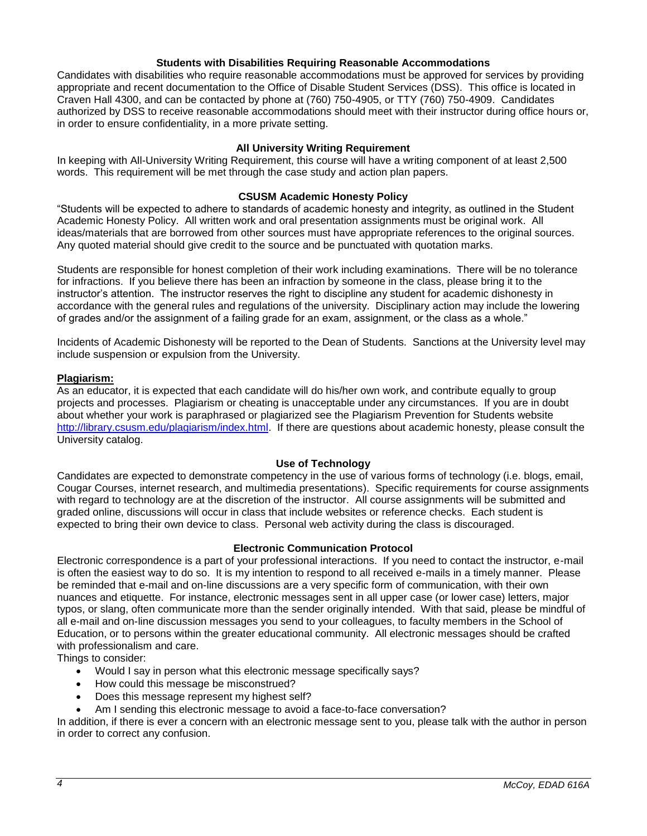### **Students with Disabilities Requiring Reasonable Accommodations**

Candidates with disabilities who require reasonable accommodations must be approved for services by providing appropriate and recent documentation to the Office of Disable Student Services (DSS). This office is located in Craven Hall 4300, and can be contacted by phone at (760) 750-4905, or TTY (760) 750-4909. Candidates authorized by DSS to receive reasonable accommodations should meet with their instructor during office hours or, in order to ensure confidentiality, in a more private setting.

### **All University Writing Requirement**

In keeping with All-University Writing Requirement, this course will have a writing component of at least 2,500 words. This requirement will be met through the case study and action plan papers.

#### **CSUSM Academic Honesty Policy**

"Students will be expected to adhere to standards of academic honesty and integrity, as outlined in the Student Academic Honesty Policy. All written work and oral presentation assignments must be original work. All ideas/materials that are borrowed from other sources must have appropriate references to the original sources. Any quoted material should give credit to the source and be punctuated with quotation marks.

Students are responsible for honest completion of their work including examinations. There will be no tolerance for infractions. If you believe there has been an infraction by someone in the class, please bring it to the instructor's attention. The instructor reserves the right to discipline any student for academic dishonesty in accordance with the general rules and regulations of the university. Disciplinary action may include the lowering of grades and/or the assignment of a failing grade for an exam, assignment, or the class as a whole."

Incidents of Academic Dishonesty will be reported to the Dean of Students. Sanctions at the University level may include suspension or expulsion from the University.

#### **Plagiarism:**

As an educator, it is expected that each candidate will do his/her own work, and contribute equally to group projects and processes. Plagiarism or cheating is unacceptable under any circumstances. If you are in doubt about whether your work is paraphrased or plagiarized see the Plagiarism Prevention for Students website [http://library.csusm.edu/plagiarism/index.html.](http://library.csusm.edu/plagiarism/index.html) If there are questions about academic honesty, please consult the University catalog.

#### **Use of Technology**

Candidates are expected to demonstrate competency in the use of various forms of technology (i.e. blogs, email, Cougar Courses, internet research, and multimedia presentations). Specific requirements for course assignments with regard to technology are at the discretion of the instructor. All course assignments will be submitted and graded online, discussions will occur in class that include websites or reference checks. Each student is expected to bring their own device to class. Personal web activity during the class is discouraged.

#### **Electronic Communication Protocol**

Electronic correspondence is a part of your professional interactions. If you need to contact the instructor, e-mail is often the easiest way to do so. It is my intention to respond to all received e-mails in a timely manner. Please be reminded that e-mail and on-line discussions are a very specific form of communication, with their own nuances and etiquette. For instance, electronic messages sent in all upper case (or lower case) letters, major typos, or slang, often communicate more than the sender originally intended. With that said, please be mindful of all e-mail and on-line discussion messages you send to your colleagues, to faculty members in the School of Education, or to persons within the greater educational community. All electronic messages should be crafted with professionalism and care.

Things to consider:

- Would I say in person what this electronic message specifically says?
- How could this message be misconstrued?
- Does this message represent my highest self?
- Am I sending this electronic message to avoid a face-to-face conversation?

In addition, if there is ever a concern with an electronic message sent to you, please talk with the author in person in order to correct any confusion.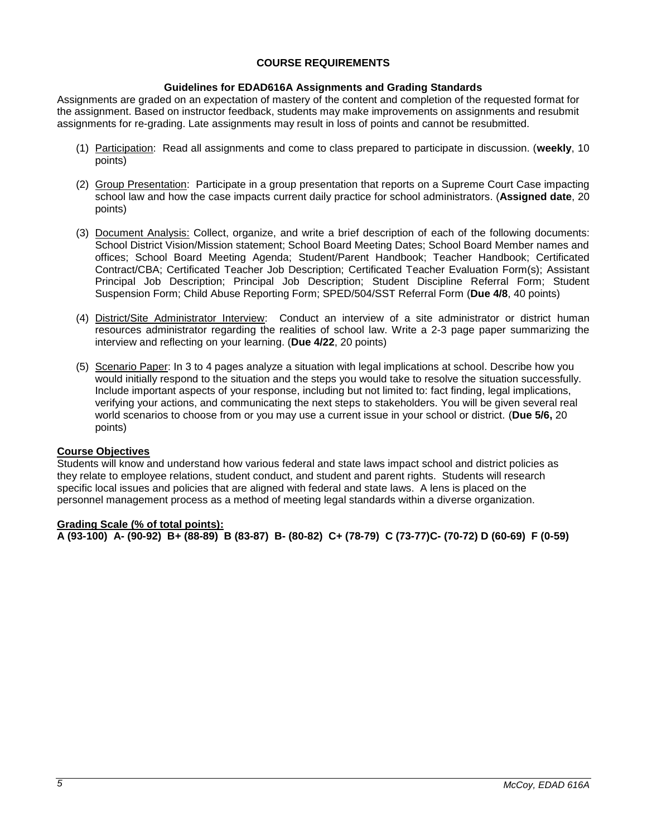# **COURSE REQUIREMENTS**

# **Guidelines for EDAD616A Assignments and Grading Standards**

Assignments are graded on an expectation of mastery of the content and completion of the requested format for the assignment. Based on instructor feedback, students may make improvements on assignments and resubmit assignments for re-grading. Late assignments may result in loss of points and cannot be resubmitted.

- (1) Participation: Read all assignments and come to class prepared to participate in discussion. (**weekly**, 10 points)
- (2) Group Presentation: Participate in a group presentation that reports on a Supreme Court Case impacting school law and how the case impacts current daily practice for school administrators. (**Assigned date**, 20 points)
- (3) Document Analysis: Collect, organize, and write a brief description of each of the following documents: School District Vision/Mission statement; School Board Meeting Dates; School Board Member names and offices; School Board Meeting Agenda; Student/Parent Handbook; Teacher Handbook; Certificated Contract/CBA; Certificated Teacher Job Description; Certificated Teacher Evaluation Form(s); Assistant Principal Job Description; Principal Job Description; Student Discipline Referral Form; Student Suspension Form; Child Abuse Reporting Form; SPED/504/SST Referral Form (**Due 4/8**, 40 points)
- (4) District/Site Administrator Interview: Conduct an interview of a site administrator or district human resources administrator regarding the realities of school law. Write a 2-3 page paper summarizing the interview and reflecting on your learning. (**Due 4/22**, 20 points)
- (5) Scenario Paper: In 3 to 4 pages analyze a situation with legal implications at school. Describe how you would initially respond to the situation and the steps you would take to resolve the situation successfully. Include important aspects of your response, including but not limited to: fact finding, legal implications, verifying your actions, and communicating the next steps to stakeholders. You will be given several real world scenarios to choose from or you may use a current issue in your school or district. (**Due 5/6,** 20 points)

### **Course Objectives**

Students will know and understand how various federal and state laws impact school and district policies as they relate to employee relations, student conduct, and student and parent rights. Students will research specific local issues and policies that are aligned with federal and state laws. A lens is placed on the personnel management process as a method of meeting legal standards within a diverse organization.

# **Grading Scale (% of total points):**

**A (93-100) A- (90-92) B+ (88-89) B (83-87) B- (80-82) C+ (78-79) C (73-77)C- (70-72) D (60-69) F (0-59)**